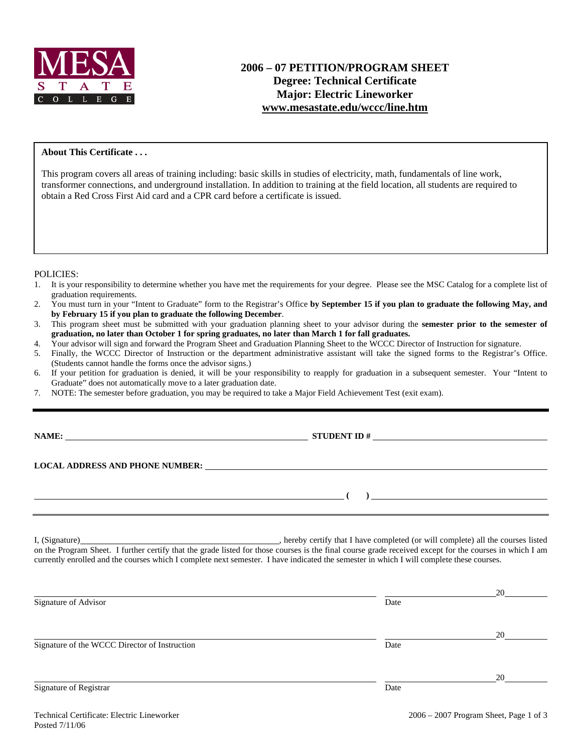

# **2006 – 07 PETITION/PROGRAM SHEET Degree: Technical Certificate Major: Electric Lineworker www.mesastate.edu/wccc/line.htm**

### **About This Certificate . . .**

This program covers all areas of training including: basic skills in studies of electricity, math, fundamentals of line work, transformer connections, and underground installation. In addition to training at the field location, all students are required to obtain a Red Cross First Aid card and a CPR card before a certificate is issued.

#### POLICIES:

- 1. It is your responsibility to determine whether you have met the requirements for your degree. Please see the MSC Catalog for a complete list of graduation requirements.
- 2. You must turn in your "Intent to Graduate" form to the Registrar's Office **by September 15 if you plan to graduate the following May, and by February 15 if you plan to graduate the following December**.
- 3. This program sheet must be submitted with your graduation planning sheet to your advisor during the **semester prior to the semester of graduation, no later than October 1 for spring graduates, no later than March 1 for fall graduates.**
- 4. Your advisor will sign and forward the Program Sheet and Graduation Planning Sheet to the WCCC Director of Instruction for signature.
- 5. Finally, the WCCC Director of Instruction or the department administrative assistant will take the signed forms to the Registrar's Office. (Students cannot handle the forms once the advisor signs.)
- 6. If your petition for graduation is denied, it will be your responsibility to reapply for graduation in a subsequent semester. Your "Intent to Graduate" does not automatically move to a later graduation date.
- 7. NOTE: The semester before graduation, you may be required to take a Major Field Achievement Test (exit exam).

### **NAME: STUDENT ID #**

 **( )** 

**LOCAL ADDRESS AND PHONE NUMBER:**

I, (Signature) **Solution** (Signature) **and Solution** (Signature) **.** hereby certify that I have completed (or will complete) all the courses listed on the Program Sheet. I further certify that the grade listed for those courses is the final course grade received except for the courses in which I am currently enrolled and the courses which I complete next semester. I have indicated the semester in which I will complete these courses.

|                                               |      | 20 |
|-----------------------------------------------|------|----|
| Signature of Advisor                          | Date |    |
|                                               |      | 20 |
| Signature of the WCCC Director of Instruction | Date |    |
|                                               |      | 20 |
| Signature of Registrar                        | Date |    |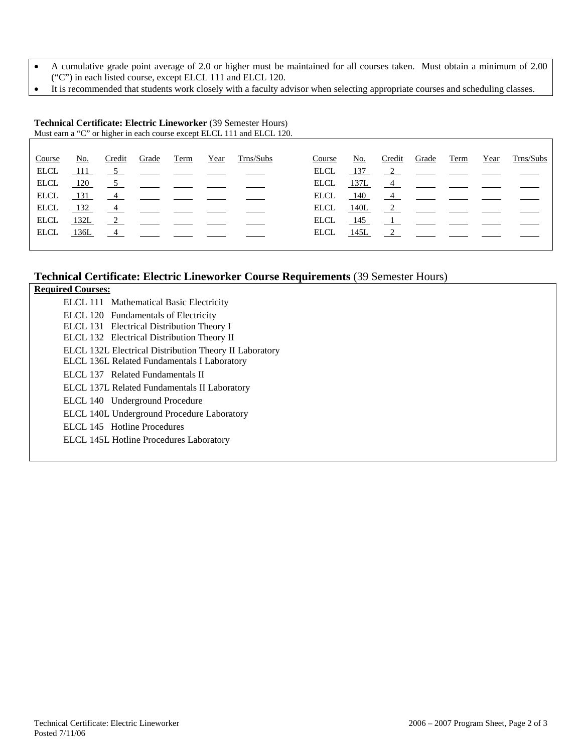- A cumulative grade point average of 2.0 or higher must be maintained for all courses taken. Must obtain a minimum of 2.00 ("C") in each listed course, except ELCL 111 and ELCL 120.
- It is recommended that students work closely with a faculty advisor when selecting appropriate courses and scheduling classes.

#### **Technical Certificate: Electric Lineworker** (39 Semester Hours) Must earn a "C" or higher in each course except ELCL 111 and ELCL 120.

| Course      | No.   | Credit | Grade                                                                               | Term | Year | Trns/Subs                                                             | Course      | <u>No.</u> | Credit | Grade                                                                               | Term | Year | Trns/Subs                 |
|-------------|-------|--------|-------------------------------------------------------------------------------------|------|------|-----------------------------------------------------------------------|-------------|------------|--------|-------------------------------------------------------------------------------------|------|------|---------------------------|
| <b>ELCL</b> | - 111 |        |                                                                                     |      |      | $\frac{5}{2}$ $\frac{1}{2}$ $\frac{1}{2}$ $\frac{1}{2}$ $\frac{1}{2}$ | ELCL.       | 137        |        |                                                                                     |      |      | <u>2</u> <u>—</u> — — — — |
| ELCL        | 120   |        | $\frac{5}{2}$ $\frac{1}{2}$ $\frac{1}{2}$ $\frac{1}{2}$                             |      |      |                                                                       | ELCL        | 137L       |        |                                                                                     |      |      |                           |
| ELCL.       | 131   |        |                                                                                     |      |      |                                                                       | ELCL.       | 140        |        |                                                                                     |      |      |                           |
| ELCL        | 132   |        | $\frac{4}{\sqrt{2}}$ $\frac{1}{\sqrt{2}}$ $\frac{1}{\sqrt{2}}$                      |      |      |                                                                       | ELCL        | 140L       |        | $\frac{2}{\sqrt{2}}$ $\frac{2}{\sqrt{2}}$ $\frac{2}{\sqrt{2}}$ $\frac{2}{\sqrt{2}}$ |      |      |                           |
| <b>ELCL</b> | 132L  |        | $\overline{2}$                                                                      |      |      |                                                                       | <b>ELCL</b> |            |        | $145 \qquad 1$                                                                      |      |      |                           |
| ELCL        | 136L  |        | $\frac{4}{\sqrt{2}}$ $\frac{4}{\sqrt{2}}$ $\frac{4}{\sqrt{2}}$ $\frac{4}{\sqrt{2}}$ |      |      |                                                                       | ELCL        | 145L       |        | $\frac{2}{\sqrt{2}}$ $\frac{2}{\sqrt{2}}$ $\frac{2}{\sqrt{2}}$                      |      |      |                           |
|             |       |        |                                                                                     |      |      |                                                                       |             |            |        |                                                                                     |      |      |                           |

### **Technical Certificate: Electric Lineworker Course Requirements** (39 Semester Hours)

| <b>Required Courses:</b> |                                                        |
|--------------------------|--------------------------------------------------------|
|                          | ELCL 111 Mathematical Basic Electricity                |
|                          | ELCL 120 Fundamentals of Electricity                   |
|                          | ELCL 131 Electrical Distribution Theory I              |
|                          | ELCL 132 Electrical Distribution Theory II             |
|                          | ELCL 132L Electrical Distribution Theory II Laboratory |
|                          | ELCL 136L Related Fundamentals I Laboratory            |
|                          | ELCL 137 Related Fundamentals II                       |
|                          | ELCL 137L Related Fundamentals II Laboratory           |
|                          | ELCL 140 Underground Procedure                         |
|                          | ELCL 140L Underground Procedure Laboratory             |
|                          | ELCL 145 Hotline Procedures                            |
|                          | ELCL 145L Hotline Procedures Laboratory                |
|                          |                                                        |